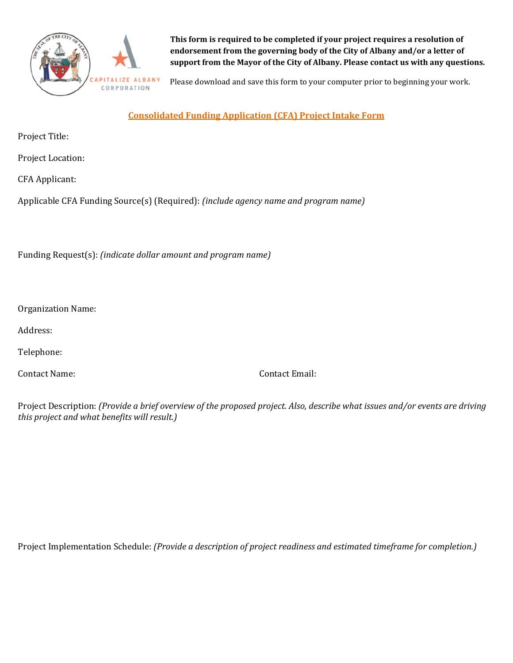

**This form is required to be completed if your project requires a resolution of endorsement from the governing body of the City of Albany and/or a letter of support from the Mayor of the City of Albany. Please contact us with any questions.** 

Please download and save this form to your computer prior to beginning your work.

**Consolidated Funding Application (CFA) Project Intake Form**

Project Title:

Project Location:

CFA Applicant:

Applicable CFA Funding Source(s) (Required): *(include agency name and program name)*

Funding Request(s): *(indicate dollar amount and program name)*

Organization Name:

Address:

Telephone:

Contact Name: Contact Email:

Project Description: *(Provide a brief overview of the proposed project. Also, describe what issues and/or events are driving this project and what benefits will result.)*

Project Implementation Schedule: *(Provide a description of project readiness and estimated timeframe for completion.)*